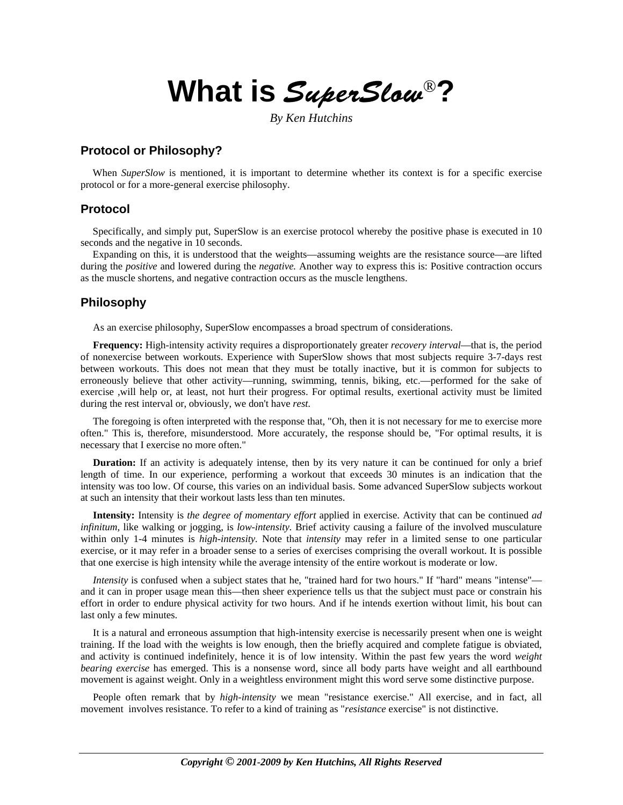**What is** SuperSlow®**?** 

*By Ken Hutchins* 

## **Protocol or Philosophy?**

When *SuperSlow* is mentioned, it is important to determine whether its context is for a specific exercise protocol or for a more-general exercise philosophy.

### **Protocol**

Specifically, and simply put, SuperSlow is an exercise protocol whereby the positive phase is executed in 10 seconds and the negative in 10 seconds.

Expanding on this, it is understood that the weights—assuming weights are the resistance source—are lifted during the *positive* and lowered during the *negative.* Another way to express this is: Positive contraction occurs as the muscle shortens, and negative contraction occurs as the muscle lengthens.

### **Philosophy**

As an exercise philosophy, SuperSlow encompasses a broad spectrum of considerations.

**Frequency:** High-intensity activity requires a disproportionately greater *recovery interval*—that is, the period of nonexercise between workouts. Experience with SuperSlow shows that most subjects require 3-7-days rest between workouts. This does not mean that they must be totally inactive, but it is common for subjects to erroneously believe that other activity—running, swimming, tennis, biking, etc.—performed for the sake of exercise ,will help or, at least, not hurt their progress. For optimal results, exertional activity must be limited during the rest interval or, obviously, we don't have *rest.*

The foregoing is often interpreted with the response that, "Oh, then it is not necessary for me to exercise more often." This is, therefore, misunderstood. More accurately, the response should be, "For optimal results, it is necessary that I exercise no more often."

**Duration:** If an activity is adequately intense, then by its very nature it can be continued for only a brief length of time. In our experience, performing a workout that exceeds 30 minutes is an indication that the intensity was too low. Of course, this varies on an individual basis. Some advanced SuperSlow subjects workout at such an intensity that their workout lasts less than ten minutes.

**Intensity:** Intensity is *the degree of momentary effort* applied in exercise. Activity that can be continued *ad infinitum,* like walking or jogging, is *low-intensity.* Brief activity causing a failure of the involved musculature within only 1-4 minutes is *high-intensity.* Note that *intensity* may refer in a limited sense to one particular exercise, or it may refer in a broader sense to a series of exercises comprising the overall workout. It is possible that one exercise is high intensity while the average intensity of the entire workout is moderate or low.

*Intensity* is confused when a subject states that he, "trained hard for two hours." If "hard" means "intense" and it can in proper usage mean this—then sheer experience tells us that the subject must pace or constrain his effort in order to endure physical activity for two hours. And if he intends exertion without limit, his bout can last only a few minutes.

It is a natural and erroneous assumption that high-intensity exercise is necessarily present when one is weight training. If the load with the weights is low enough, then the briefly acquired and complete fatigue is obviated, and activity is continued indefinitely, hence it is of low intensity. Within the past few years the word *weight bearing exercise* has emerged. This is a nonsense word, since all body parts have weight and all earthbound movement is against weight. Only in a weightless environment might this word serve some distinctive purpose.

People often remark that by *high-intensity* we mean "resistance exercise." All exercise, and in fact, all movement involves resistance. To refer to a kind of training as "*resistance* exercise" is not distinctive.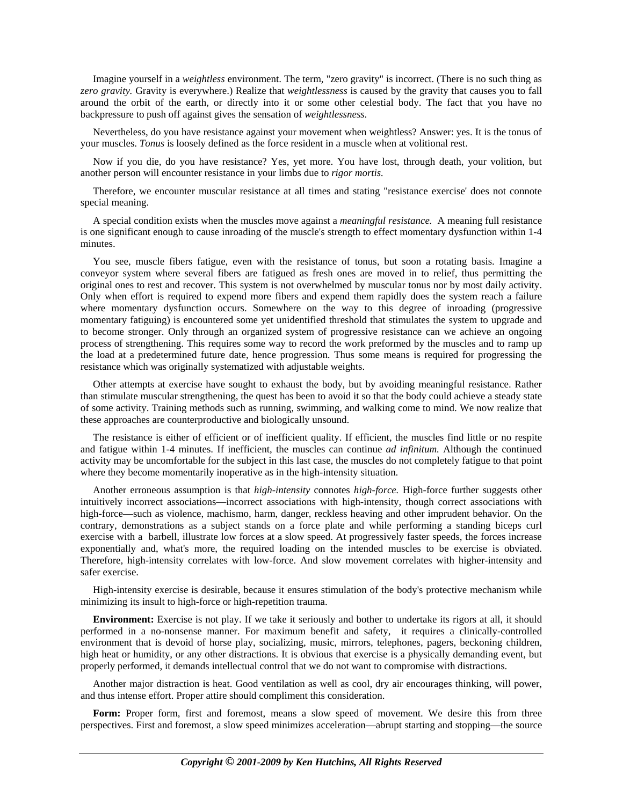Imagine yourself in a *weightless* environment. The term, "zero gravity" is incorrect. (There is no such thing as *zero gravity.* Gravity is everywhere.) Realize that *weightlessness* is caused by the gravity that causes you to fall around the orbit of the earth, or directly into it or some other celestial body. The fact that you have no backpressure to push off against gives the sensation of *weightlessness*.

Nevertheless, do you have resistance against your movement when weightless? Answer: yes. It is the tonus of your muscles. *Tonus* is loosely defined as the force resident in a muscle when at volitional rest.

Now if you die, do you have resistance? Yes, yet more. You have lost, through death, your volition, but another person will encounter resistance in your limbs due to *rigor mortis.*

Therefore, we encounter muscular resistance at all times and stating "resistance exercise' does not connote special meaning.

A special condition exists when the muscles move against a *meaningful resistance.* A meaning full resistance is one significant enough to cause inroading of the muscle's strength to effect momentary dysfunction within 1-4 minutes.

You see, muscle fibers fatigue, even with the resistance of tonus, but soon a rotating basis. Imagine a conveyor system where several fibers are fatigued as fresh ones are moved in to relief, thus permitting the original ones to rest and recover. This system is not overwhelmed by muscular tonus nor by most daily activity. Only when effort is required to expend more fibers and expend them rapidly does the system reach a failure where momentary dysfunction occurs. Somewhere on the way to this degree of inroading (progressive momentary fatiguing) is encountered some yet unidentified threshold that stimulates the system to upgrade and to become stronger. Only through an organized system of progressive resistance can we achieve an ongoing process of strengthening. This requires some way to record the work preformed by the muscles and to ramp up the load at a predetermined future date, hence progression. Thus some means is required for progressing the resistance which was originally systematized with adjustable weights.

Other attempts at exercise have sought to exhaust the body, but by avoiding meaningful resistance. Rather than stimulate muscular strengthening, the quest has been to avoid it so that the body could achieve a steady state of some activity. Training methods such as running, swimming, and walking come to mind. We now realize that these approaches are counterproductive and biologically unsound.

The resistance is either of efficient or of inefficient quality. If efficient, the muscles find little or no respite and fatigue within 1-4 minutes. If inefficient, the muscles can continue *ad infinitum.* Although the continued activity may be uncomfortable for the subject in this last case, the muscles do not completely fatigue to that point where they become momentarily inoperative as in the high-intensity situation.

Another erroneous assumption is that *high-intensity* connotes *high-force.* High-force further suggests other intuitively incorrect associations—incorrect associations with high-intensity, though correct associations with high-force—such as violence, machismo, harm, danger, reckless heaving and other imprudent behavior. On the contrary, demonstrations as a subject stands on a force plate and while performing a standing biceps curl exercise with a barbell, illustrate low forces at a slow speed. At progressively faster speeds, the forces increase exponentially and, what's more, the required loading on the intended muscles to be exercise is obviated. Therefore, high-intensity correlates with low-force. And slow movement correlates with higher-intensity and safer exercise.

High-intensity exercise is desirable, because it ensures stimulation of the body's protective mechanism while minimizing its insult to high-force or high-repetition trauma.

**Environment:** Exercise is not play. If we take it seriously and bother to undertake its rigors at all, it should performed in a no-nonsense manner. For maximum benefit and safety, it requires a clinically-controlled environment that is devoid of horse play, socializing, music, mirrors, telephones, pagers, beckoning children, high heat or humidity, or any other distractions. It is obvious that exercise is a physically demanding event, but properly performed, it demands intellectual control that we do not want to compromise with distractions.

Another major distraction is heat. Good ventilation as well as cool, dry air encourages thinking, will power, and thus intense effort. Proper attire should compliment this consideration.

**Form:** Proper form, first and foremost, means a slow speed of movement. We desire this from three perspectives. First and foremost, a slow speed minimizes acceleration—abrupt starting and stopping—the source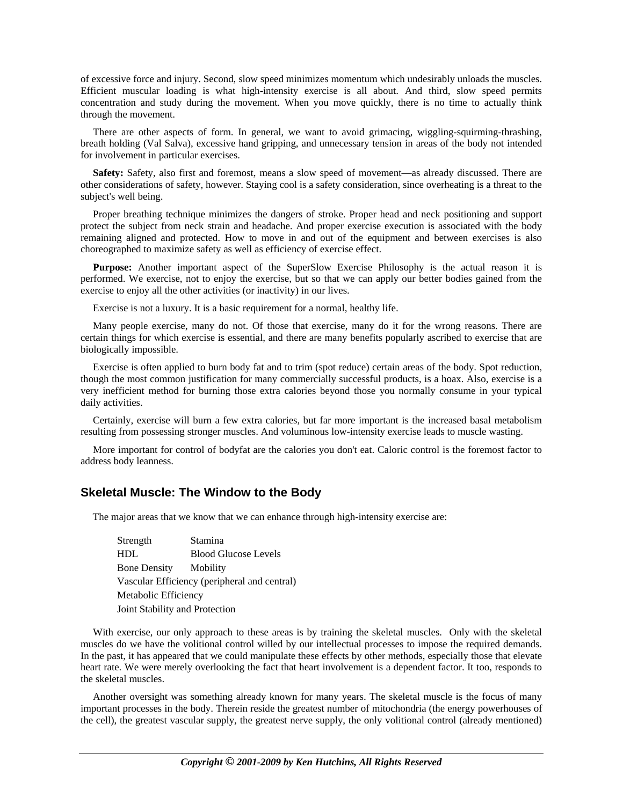of excessive force and injury. Second, slow speed minimizes momentum which undesirably unloads the muscles. Efficient muscular loading is what high-intensity exercise is all about. And third, slow speed permits concentration and study during the movement. When you move quickly, there is no time to actually think through the movement.

There are other aspects of form. In general, we want to avoid grimacing, wiggling-squirming-thrashing, breath holding (Val Salva), excessive hand gripping, and unnecessary tension in areas of the body not intended for involvement in particular exercises.

Safety: Safety, also first and foremost, means a slow speed of movement—as already discussed. There are other considerations of safety, however. Staying cool is a safety consideration, since overheating is a threat to the subject's well being.

Proper breathing technique minimizes the dangers of stroke. Proper head and neck positioning and support protect the subject from neck strain and headache. And proper exercise execution is associated with the body remaining aligned and protected. How to move in and out of the equipment and between exercises is also choreographed to maximize safety as well as efficiency of exercise effect.

**Purpose:** Another important aspect of the SuperSlow Exercise Philosophy is the actual reason it is performed. We exercise, not to enjoy the exercise, but so that we can apply our better bodies gained from the exercise to enjoy all the other activities (or inactivity) in our lives.

Exercise is not a luxury. It is a basic requirement for a normal, healthy life.

Many people exercise, many do not. Of those that exercise, many do it for the wrong reasons. There are certain things for which exercise is essential, and there are many benefits popularly ascribed to exercise that are biologically impossible.

Exercise is often applied to burn body fat and to trim (spot reduce) certain areas of the body. Spot reduction, though the most common justification for many commercially successful products, is a hoax. Also, exercise is a very inefficient method for burning those extra calories beyond those you normally consume in your typical daily activities.

Certainly, exercise will burn a few extra calories, but far more important is the increased basal metabolism resulting from possessing stronger muscles. And voluminous low-intensity exercise leads to muscle wasting.

More important for control of bodyfat are the calories you don't eat. Caloric control is the foremost factor to address body leanness.

### **Skeletal Muscle: The Window to the Body**

The major areas that we know that we can enhance through high-intensity exercise are:

 Strength Stamina HDL Blood Glucose Levels Bone Density Mobility Vascular Efficiency (peripheral and central) Metabolic Efficiency Joint Stability and Protection

With exercise, our only approach to these areas is by training the skeletal muscles. Only with the skeletal muscles do we have the volitional control willed by our intellectual processes to impose the required demands. In the past, it has appeared that we could manipulate these effects by other methods, especially those that elevate heart rate. We were merely overlooking the fact that heart involvement is a dependent factor. It too, responds to the skeletal muscles.

Another oversight was something already known for many years. The skeletal muscle is the focus of many important processes in the body. Therein reside the greatest number of mitochondria (the energy powerhouses of the cell), the greatest vascular supply, the greatest nerve supply, the only volitional control (already mentioned)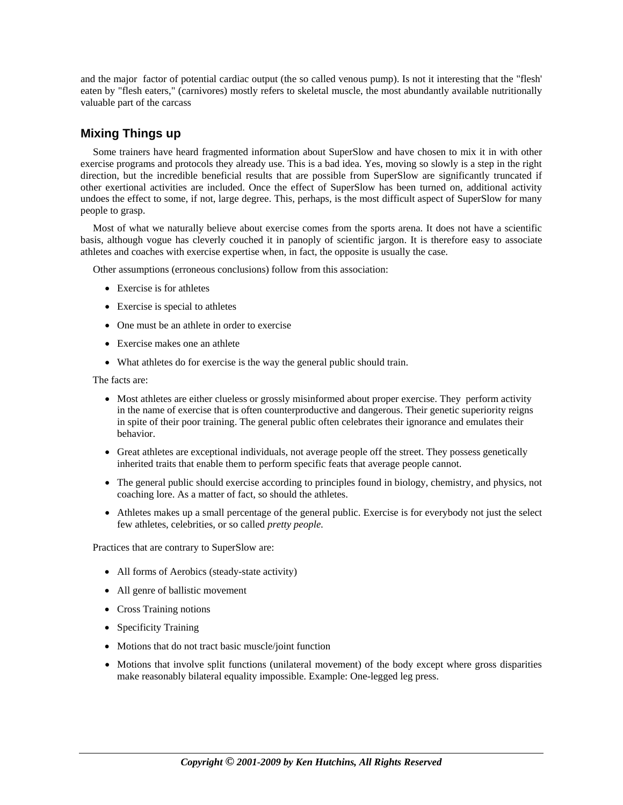and the major factor of potential cardiac output (the so called venous pump). Is not it interesting that the "flesh' eaten by "flesh eaters," (carnivores) mostly refers to skeletal muscle, the most abundantly available nutritionally valuable part of the carcass

# **Mixing Things up**

Some trainers have heard fragmented information about SuperSlow and have chosen to mix it in with other exercise programs and protocols they already use. This is a bad idea. Yes, moving so slowly is a step in the right direction, but the incredible beneficial results that are possible from SuperSlow are significantly truncated if other exertional activities are included. Once the effect of SuperSlow has been turned on, additional activity undoes the effect to some, if not, large degree. This, perhaps, is the most difficult aspect of SuperSlow for many people to grasp.

Most of what we naturally believe about exercise comes from the sports arena. It does not have a scientific basis, although vogue has cleverly couched it in panoply of scientific jargon. It is therefore easy to associate athletes and coaches with exercise expertise when, in fact, the opposite is usually the case.

Other assumptions (erroneous conclusions) follow from this association:

- Exercise is for athletes
- Exercise is special to athletes
- One must be an athlete in order to exercise
- Exercise makes one an athlete
- What athletes do for exercise is the way the general public should train.

The facts are:

- Most athletes are either clueless or grossly misinformed about proper exercise. They perform activity in the name of exercise that is often counterproductive and dangerous. Their genetic superiority reigns in spite of their poor training. The general public often celebrates their ignorance and emulates their behavior.
- Great athletes are exceptional individuals, not average people off the street. They possess genetically inherited traits that enable them to perform specific feats that average people cannot.
- The general public should exercise according to principles found in biology, chemistry, and physics, not coaching lore. As a matter of fact, so should the athletes.
- Athletes makes up a small percentage of the general public. Exercise is for everybody not just the select few athletes, celebrities, or so called *pretty people.*

Practices that are contrary to SuperSlow are:

- All forms of Aerobics (steady-state activity)
- All genre of ballistic movement
- Cross Training notions
- Specificity Training
- Motions that do not tract basic muscle/joint function
- Motions that involve split functions (unilateral movement) of the body except where gross disparities make reasonably bilateral equality impossible. Example: One-legged leg press.